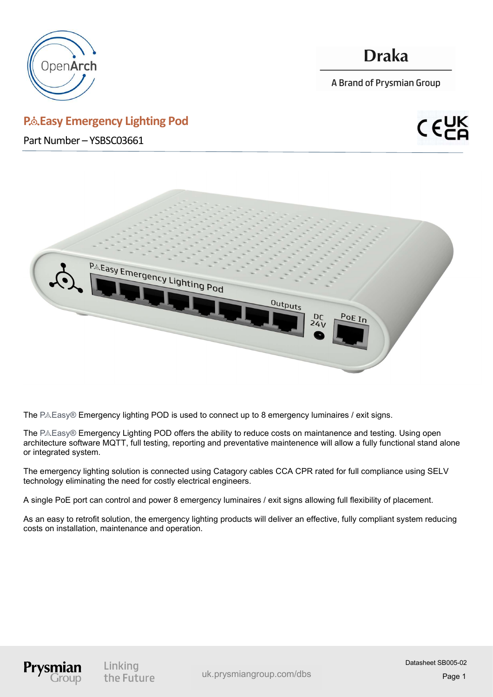

## **Draka**

A Brand of Prysmian Group

### P.& Easy Emergency Lighting Pod

Part Number – YSBSC03661





The  $P.A.Easy®$  Emergency lighting POD is used to connect up to 8 emergency luminaires / exit signs.

The P&Easy® Emergency Lighting POD offers the ability to reduce costs on maintanence and testing. Using open architecture software MQTT, full testing, reporting and preventative maintenence will allow a fully functional stand alone or integrated system.

The emergency lighting solution is connected using Catagory cables CCA CPR rated for full compliance using SELV technology eliminating the need for costly electrical engineers.

A single PoE port can control and power 8 emergency luminaires / exit signs allowing full flexibility of placement.

As an easy to retrofit solution, the emergency lighting products will deliver an effective, fully compliant system reducing costs on installation, maintenance and operation.



Linking the Future